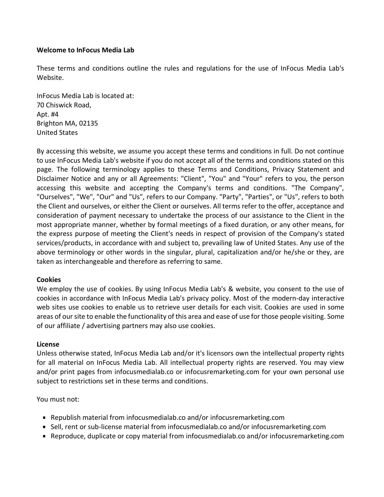#### **Welcome to InFocus Media Lab**

These terms and conditions outline the rules and regulations for the use of InFocus Media Lab's Website.

InFocus Media Lab is located at: 70 Chiswick Road, Apt. #4 Brighton MA, 02135 United States

By accessing this website, we assume you accept these terms and conditions in full. Do not continue to use InFocus Media Lab's website if you do not accept all of the terms and conditions stated on this page. The following terminology applies to these Terms and Conditions, Privacy Statement and Disclaimer Notice and any or all Agreements: "Client", "You" and "Your" refers to you, the person accessing this website and accepting the Company's terms and conditions. "The Company", "Ourselves", "We", "Our" and "Us", refers to our Company. "Party", "Parties", or "Us", refers to both the Client and ourselves, or either the Client or ourselves. All terms refer to the offer, acceptance and consideration of payment necessary to undertake the process of our assistance to the Client in the most appropriate manner, whether by formal meetings of a fixed duration, or any other means, for the express purpose of meeting the Client's needs in respect of provision of the Company's stated services/products, in accordance with and subject to, prevailing law of United States. Any use of the above terminology or other words in the singular, plural, capitalization and/or he/she or they, are taken as interchangeable and therefore as referring to same.

#### **Cookies**

We employ the use of cookies. By using InFocus Media Lab's & website, you consent to the use of cookies in accordance with InFocus Media Lab's privacy policy. Most of the modern-day interactive web sites use cookies to enable us to retrieve user details for each visit. Cookies are used in some areas of our site to enable the functionality of this area and ease of use for those people visiting. Some of our affiliate / advertising partners may also use cookies.

#### **License**

Unless otherwise stated, InFocus Media Lab and/or it's licensors own the intellectual property rights for all material on InFocus Media Lab. All intellectual property rights are reserved. You may view and/or print pages from infocusmedialab.co or infocusremarketing.com for your own personal use subject to restrictions set in these terms and conditions.

You must not:

- Republish material from infocusmedialab.co and/or infocusremarketing.com
- Sell, rent or sub-license material from infocusmedialab.co and/or infocusremarketing.com
- Reproduce, duplicate or copy material from infocusmedialab.co and/or infocusremarketing.com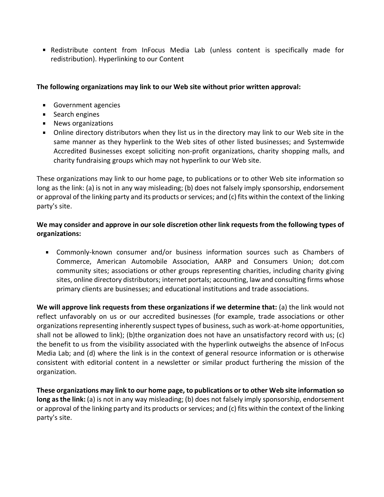Redistribute content from InFocus Media Lab (unless content is specifically made for redistribution). Hyperlinking to our Content

# **The following organizations may link to our Web site without prior written approval:**

- **Government agencies**
- **Search engines**
- **News organizations**
- Online directory distributors when they list us in the directory may link to our Web site in the same manner as they hyperlink to the Web sites of other listed businesses; and Systemwide Accredited Businesses except soliciting non-profit organizations, charity shopping malls, and charity fundraising groups which may not hyperlink to our Web site.

These organizations may link to our home page, to publications or to other Web site information so long as the link: (a) is not in any way misleading; (b) does not falsely imply sponsorship, endorsement or approval of the linking party and its products or services; and (c) fits within the context of the linking party's site.

# **We may consider and approve in our sole discretion other link requests from the following types of organizations:**

Commonly-known consumer and/or business information sources such as Chambers of Commerce, American Automobile Association, AARP and Consumers Union; dot.com community sites; associations or other groups representing charities, including charity giving sites, online directory distributors; internet portals; accounting, law and consulting firms whose primary clients are businesses; and educational institutions and trade associations.

**We will approve link requests from these organizations if we determine that:** (a) the link would not reflect unfavorably on us or our accredited businesses (for example, trade associations or other organizations representing inherently suspect types of business, such as work-at-home opportunities, shall not be allowed to link); (b)the organization does not have an unsatisfactory record with us; (c) the benefit to us from the visibility associated with the hyperlink outweighs the absence of InFocus Media Lab; and (d) where the link is in the context of general resource information or is otherwise consistent with editorial content in a newsletter or similar product furthering the mission of the organization.

**These organizations may link to our home page, to publications or to other Web site information so long asthe link:** (a) is not in any way misleading; (b) does not falsely imply sponsorship, endorsement or approval of the linking party and its products or services; and (c) fits within the context of the linking party's site.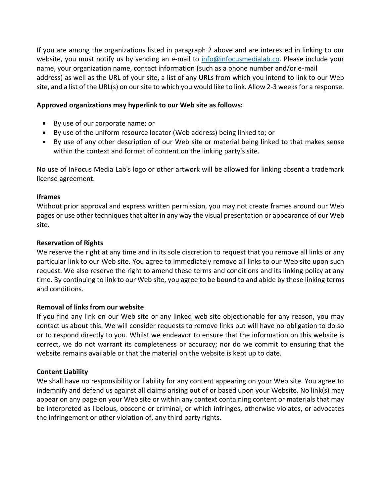If you are among the organizations listed in paragraph 2 above and are interested in linking to our website, you must notify us by sending an e-mail to [info@infocusmedialab.co.](mailto:info@infocusmedialab.co) Please include your name, your organization name, contact information (such as a phone number and/or e-mail address) as well as the URL of your site, a list of any URLs from which you intend to link to our Web site, and a list of the URL(s) on our site to which you would like to link. Allow 2-3 weeks for a response.

#### **Approved organizations may hyperlink to our Web site as follows:**

- By use of our corporate name; or
- By use of the uniform resource locator (Web address) being linked to; or
- By use of any other description of our Web site or material being linked to that makes sense within the context and format of content on the linking party's site.

No use of InFocus Media Lab's logo or other artwork will be allowed for linking absent a trademark license agreement.

#### **Iframes**

Without prior approval and express written permission, you may not create frames around our Web pages or use other techniques that alter in any way the visual presentation or appearance of our Web site.

#### **Reservation of Rights**

We reserve the right at any time and in its sole discretion to request that you remove all links or any particular link to our Web site. You agree to immediately remove all links to our Web site upon such request. We also reserve the right to amend these terms and conditions and its linking policy at any time. By continuing to link to our Web site, you agree to be bound to and abide by these linking terms and conditions.

## **Removal of links from our website**

If you find any link on our Web site or any linked web site objectionable for any reason, you may contact us about this. We will consider requests to remove links but will have no obligation to do so or to respond directly to you. Whilst we endeavor to ensure that the information on this website is correct, we do not warrant its completeness or accuracy; nor do we commit to ensuring that the website remains available or that the material on the website is kept up to date.

## **Content Liability**

We shall have no responsibility or liability for any content appearing on your Web site. You agree to indemnify and defend us against all claims arising out of or based upon your Website. No link(s) may appear on any page on your Web site or within any context containing content or materials that may be interpreted as libelous, obscene or criminal, or which infringes, otherwise violates, or advocates the infringement or other violation of, any third party rights.